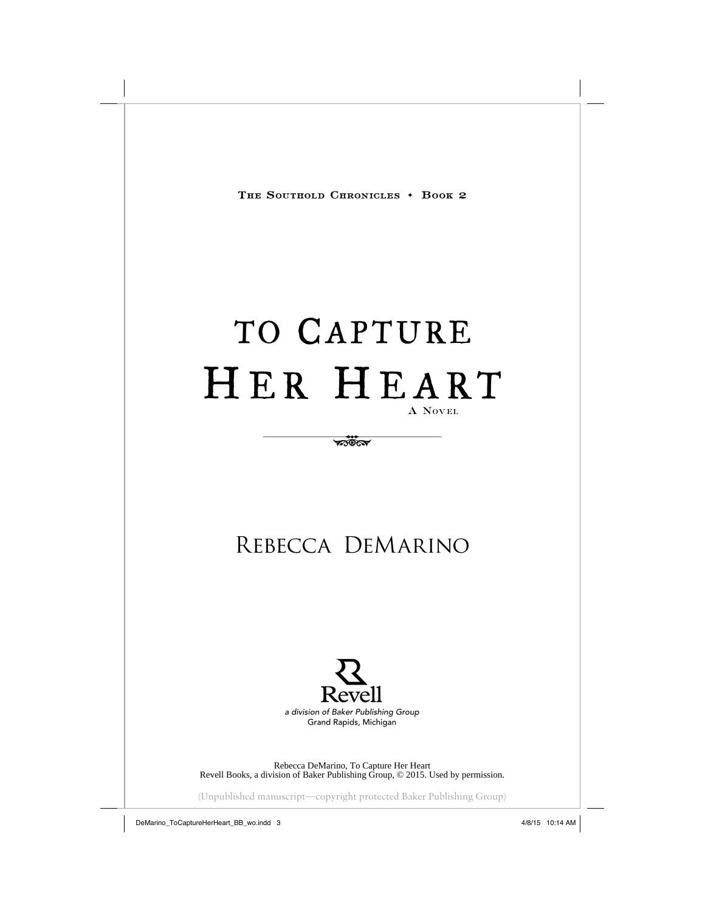THE SOUTHOLD CHRONICLES  $+$  BOOK 2

# TO CAPTURE HER HEART A NOVEL

**THEA** 

## REBECCA DEMARINO



Rebecca DeMarino, To Capture Her Heart Revell Books, a division of Baker Publishing Group, © 2015. Used by permission.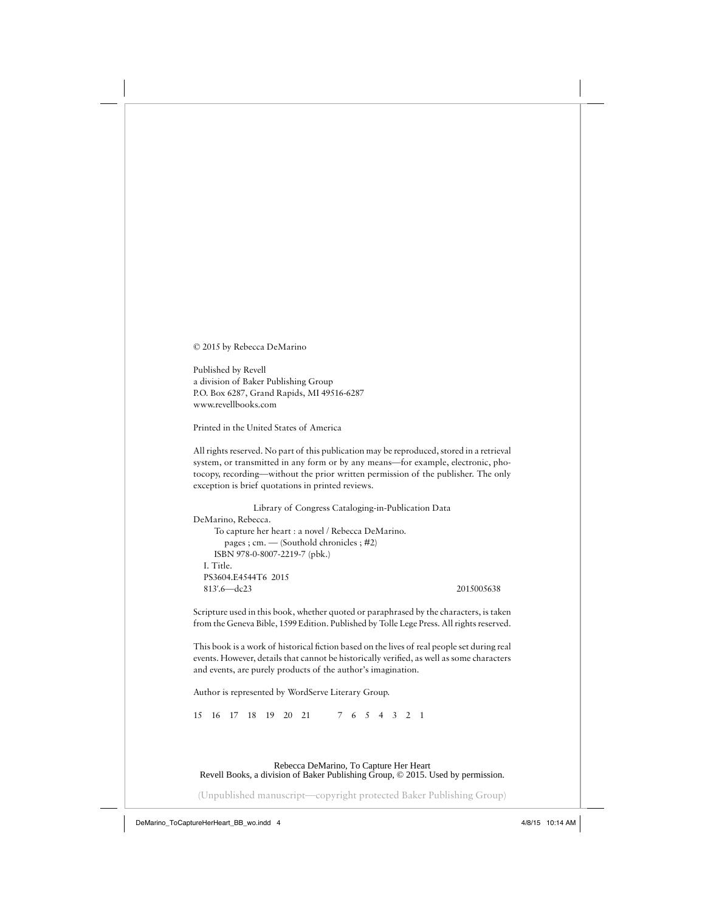© 2015 by Rebecca DeMarino

Published by Revell a division of Baker Publishing Group P.O. Box 6287, Grand Rapids, MI 49516-6287 www.revellbooks.com

Printed in the United States of America

All rights reserved. No part of this publication may be reproduced, stored in a retrieval system, or transmitted in any form or by any means—for example, electronic, photocopy, recording—without the prior written permission of the publisher. The only exception is brief quotations in printed reviews.

```
Library of Congress Cataloging-in-Publication Data
DeMarino, Rebecca.
    To capture her heart : a novel / Rebecca DeMarino.
       pages ; cm. — (Southold chronicles ; #2)
    ISBN 978-0-8007-2219-7 (pbk.)
  I. Title.
  PS3604.E4544T6 2015
  813 .6—dc23 2015005638
```
Scripture used in this book, whether quoted or paraphrased by the characters, is taken from the Geneva Bible, 1599 Edition. Published by Tolle Lege Press. All rights reserved.

This book is a work of historical fiction based on the lives of real people set during real events. However, details that cannot be historically verified, as well as some characters and events, are purely products of the author's imagination.

Author is represented by WordServe Literary Group.

15 16 17 18 19 20 21 7 6 5 4 3 2 1

#### Rebecca DeMarino, To Capture Her Heart Revell Books, a division of Baker Publishing Group, © 2015. Used by permission.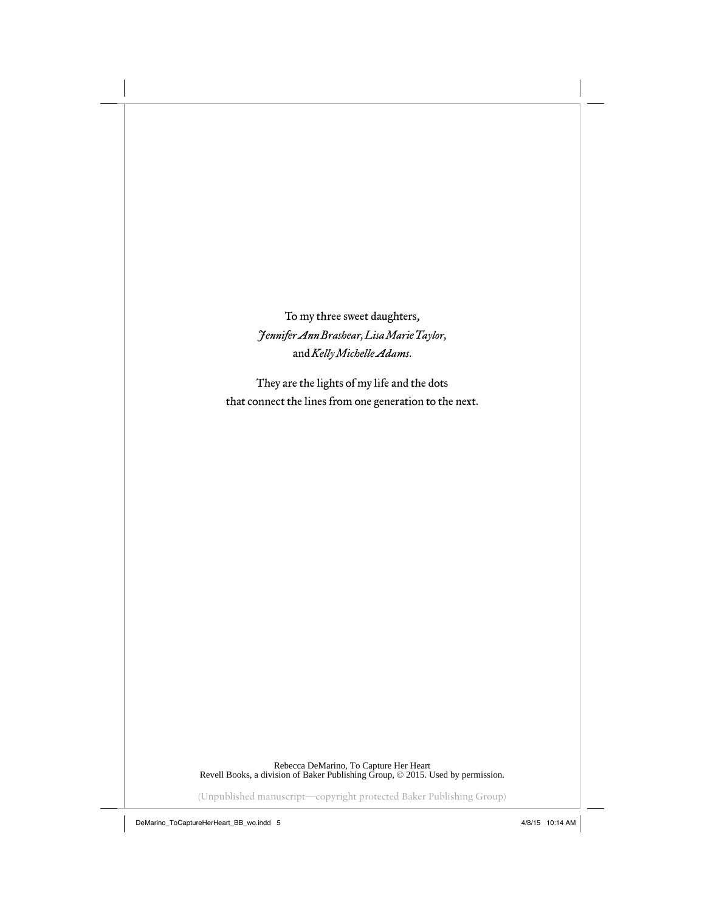To my three sweet daughters, *Jennifer Ann Brashear, Lisa Marie Taylor,*  and *Kelly Michelle Adams*.

They are the lights of my life and the dots that connect the lines from one generation to the next.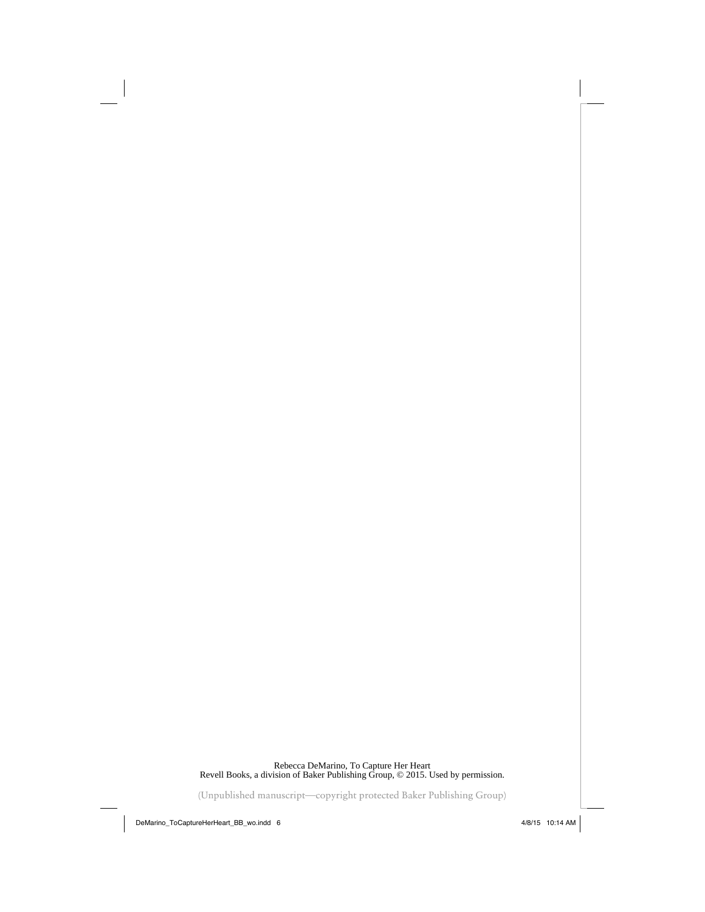Rebecca DeMarino, To Capture Her Heart Revell Books, a division of Baker Publishing Group, © 2015. Used by permission.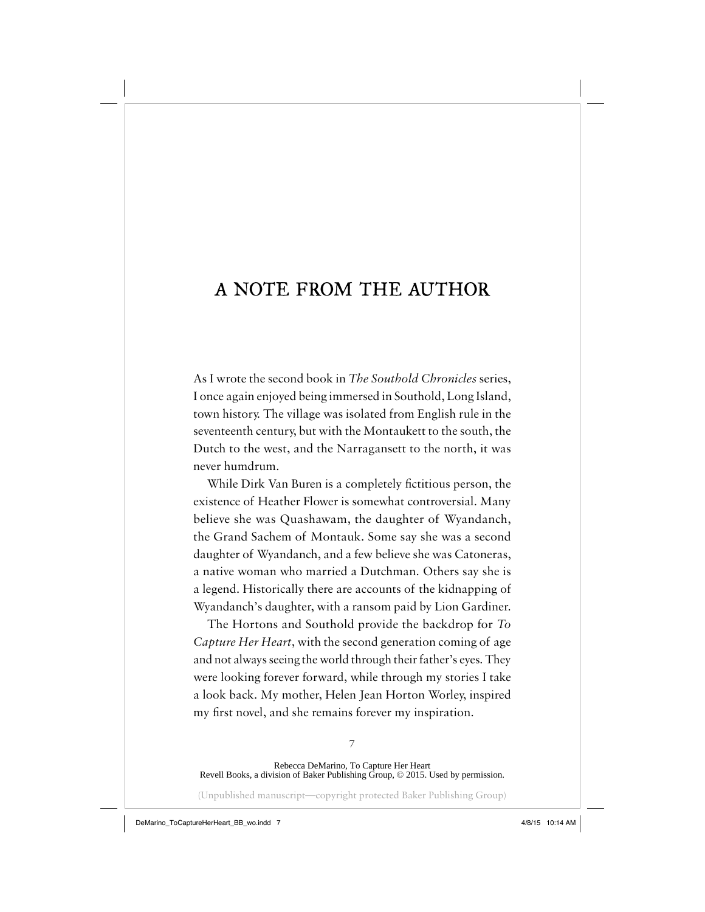### A NOTE FROM THE AUTHOR

As I wrote the second book in *The Southold Chronicles* series, I once again enjoyed being immersed in Southold, Long Island, town history. The village was isolated from English rule in the seventeenth century, but with the Montaukett to the south, the Dutch to the west, and the Narragansett to the north, it was never humdrum.

While Dirk Van Buren is a completely fictitious person, the existence of Heather Flower is somewhat controversial. Many believe she was Quashawam, the daughter of Wyandanch, the Grand Sachem of Montauk. Some say she was a second daughter of Wyandanch, and a few believe she was Catoneras, a native woman who married a Dutchman. Others say she is a legend. Historically there are accounts of the kidnapping of Wyandanch's daughter, with a ransom paid by Lion Gardiner.

The Hortons and Southold provide the backdrop for *To Capture Her Heart*, with the second generation coming of age and not always seeing the world through their father's eyes. They were looking forever forward, while through my stories I take a look back. My mother, Helen Jean Horton Worley, inspired my first novel, and she remains forever my inspiration.

7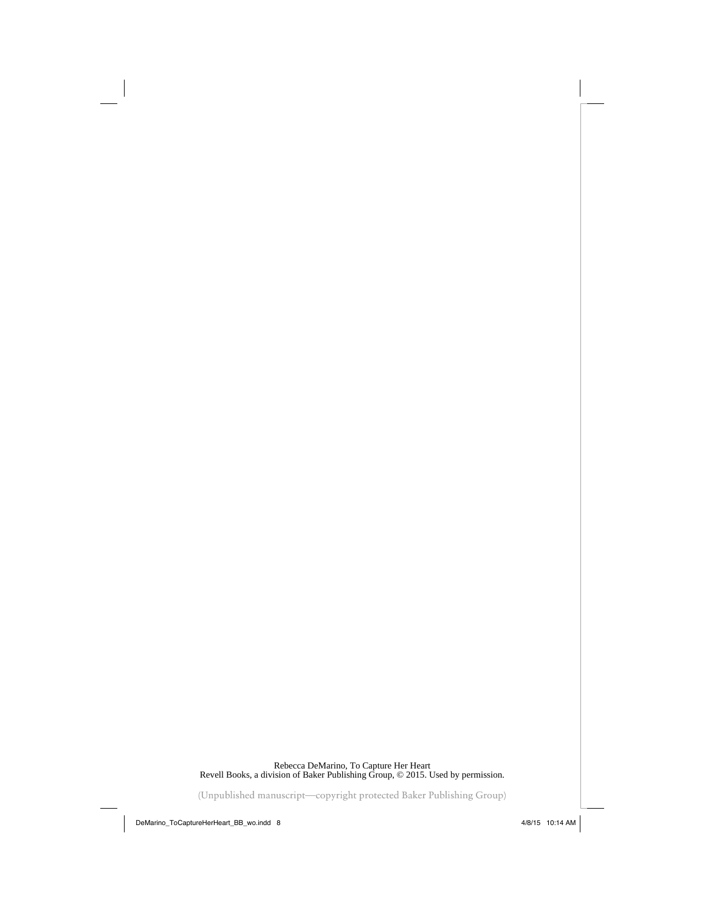Rebecca DeMarino, To Capture Her Heart Revell Books, a division of Baker Publishing Group, © 2015. Used by permission.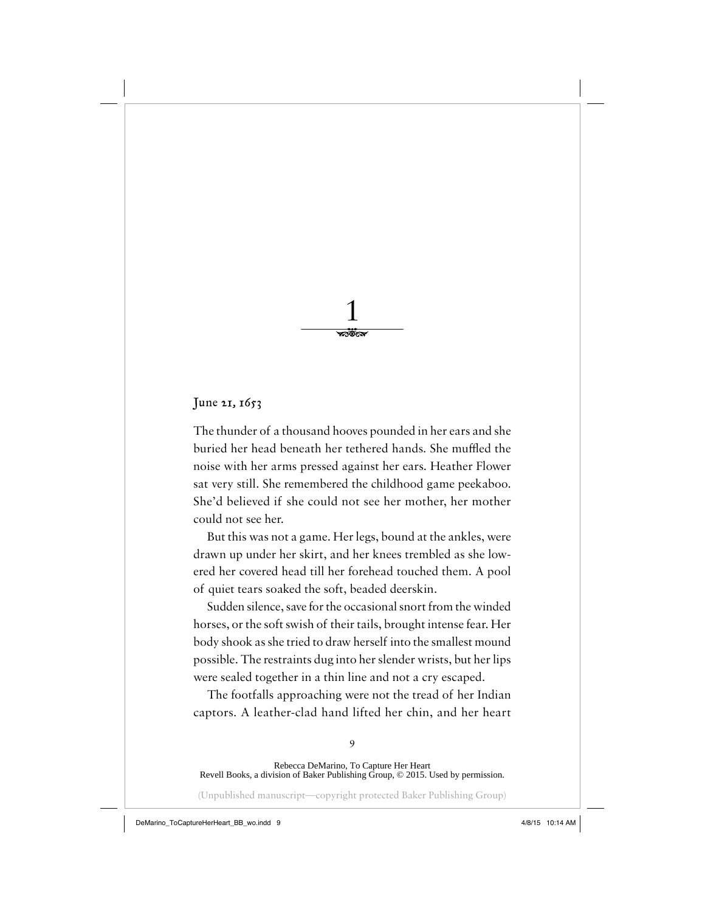

#### June 21, 1653

The thunder of a thousand hooves pounded in her ears and she buried her head beneath her tethered hands. She muffled the noise with her arms pressed against her ears. Heather Flower sat very still. She remembered the childhood game peekaboo. She'd believed if she could not see her mother, her mother could not see her.

But this was not a game. Her legs, bound at the ankles, were drawn up under her skirt, and her knees trembled as she lowered her covered head till her forehead touched them. A pool of quiet tears soaked the soft, beaded deerskin.

Sudden silence, save for the occasional snort from the winded horses, or the soft swish of their tails, brought intense fear. Her body shook as she tried to draw herself into the smallest mound possible. The restraints dug into her slender wrists, but her lips were sealed together in a thin line and not a cry escaped.

The footfalls approaching were not the tread of her Indian captors. A leather-clad hand lifted her chin, and her heart

9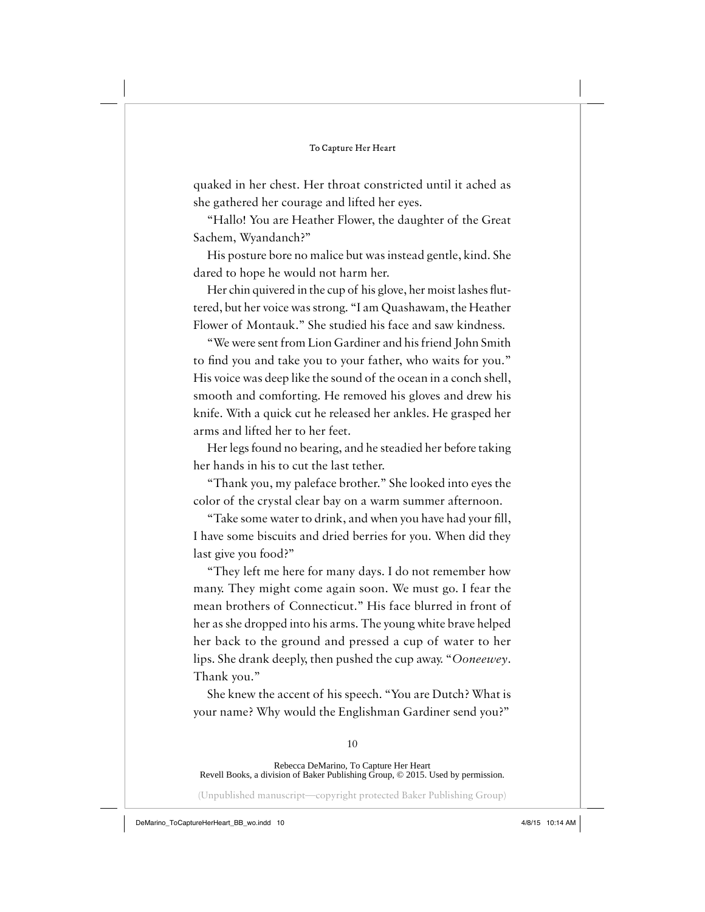quaked in her chest. Her throat constricted until it ached as she gathered her courage and lifted her eyes.

"Hallo! You are Heather Flower, the daughter of the Great Sachem, Wyandanch?"

His posture bore no malice but was instead gentle, kind. She dared to hope he would not harm her.

Her chin quivered in the cup of his glove, her moist lashes fluttered, but her voice was strong. "I am Quashawam, the Heather Flower of Montauk." She studied his face and saw kindness.

"We were sent from Lion Gardiner and his friend John Smith to find you and take you to your father, who waits for you." His voice was deep like the sound of the ocean in a conch shell, smooth and comforting. He removed his gloves and drew his knife. With a quick cut he released her ankles. He grasped her arms and lifted her to her feet.

Her legs found no bearing, and he steadied her before taking her hands in his to cut the last tether.

"Thank you, my paleface brother." She looked into eyes the color of the crystal clear bay on a warm summer afternoon.

"Take some water to drink, and when you have had your fill, I have some biscuits and dried berries for you. When did they last give you food?"

"They left me here for many days. I do not remember how many. They might come again soon. We must go. I fear the mean brothers of Connecticut." His face blurred in front of her as she dropped into his arms. The young white brave helped her back to the ground and pressed a cup of water to her lips. She drank deeply, then pushed the cup away. "*Ooneewey*. Thank you."

She knew the accent of his speech. "You are Dutch? What is your name? Why would the Englishman Gardiner send you?"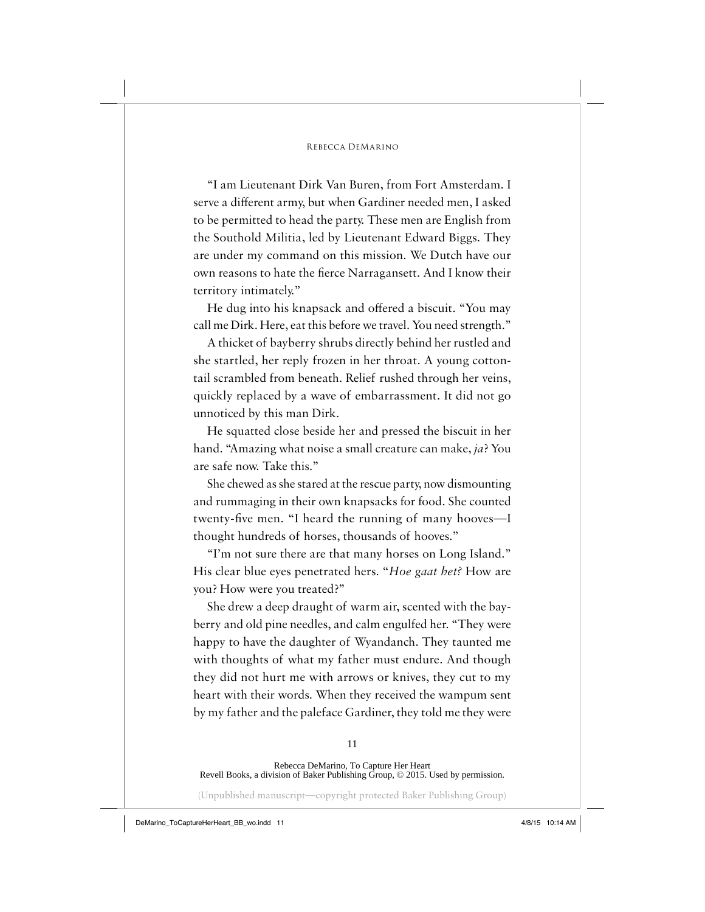"I am Lieutenant Dirk Van Buren, from Fort Amsterdam. I serve a different army, but when Gardiner needed men. Lasked to be permitted to head the party. These men are English from the Southold Militia, led by Lieutenant Edward Biggs. They are under my command on this mission. We Dutch have our own reasons to hate the fierce Narragansett. And I know their territory intimately."

He dug into his knapsack and offered a biscuit. "You may call me Dirk. Here, eat this before we travel. You need strength."

A thicket of bayberry shrubs directly behind her rustled and she startled, her reply frozen in her throat. A young cottontail scrambled from beneath. Relief rushed through her veins, quickly replaced by a wave of embarrassment. It did not go unnoticed by this man Dirk.

He squatted close beside her and pressed the biscuit in her hand. "Amazing what noise a small creature can make, *ja*? You are safe now. Take this."

She chewed as she stared at the rescue party, now dismounting and rummaging in their own knapsacks for food. She counted twenty-five men. "I heard the running of many hooves—I thought hundreds of horses, thousands of hooves."

"I'm not sure there are that many horses on Long Island." His clear blue eyes penetrated hers. "*Hoe gaat het?* How are you? How were you treated?"

She drew a deep draught of warm air, scented with the bayberry and old pine needles, and calm engulfed her. "They were happy to have the daughter of Wyandanch. They taunted me with thoughts of what my father must endure. And though they did not hurt me with arrows or knives, they cut to my heart with their words. When they received the wampum sent by my father and the paleface Gardiner, they told me they were

11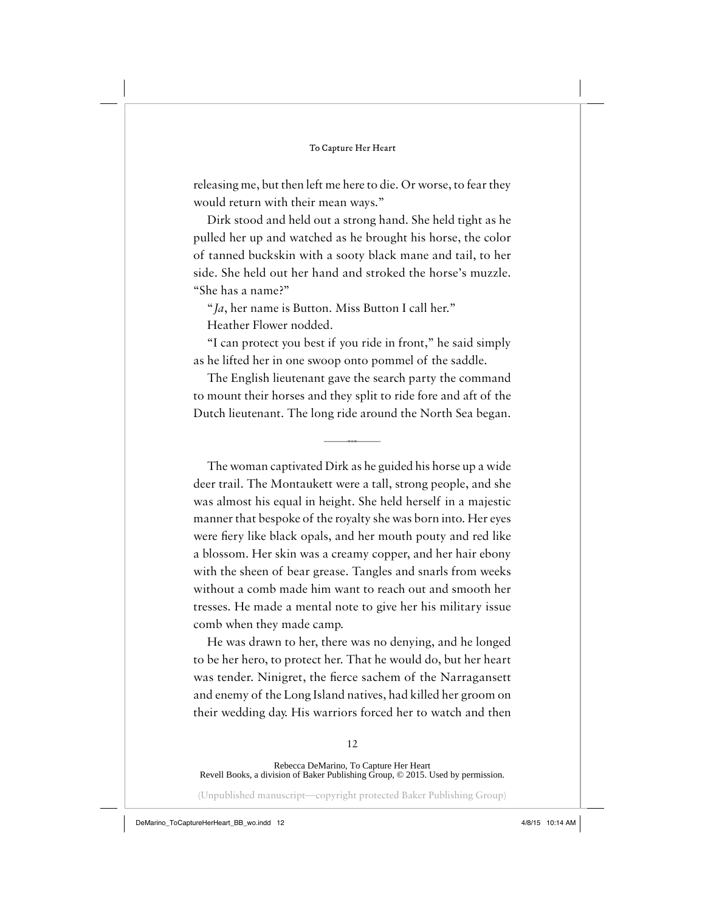releasing me, but then left me here to die. Or worse, to fear they would return with their mean ways."

Dirk stood and held out a strong hand. She held tight as he pulled her up and watched as he brought his horse, the color of tanned buckskin with a sooty black mane and tail, to her side. She held out her hand and stroked the horse's muzzle. "She has a name?"

"*Ja*, her name is Button. Miss Button I call her."

Heather Flower nodded.

"I can protect you best if you ride in front," he said simply as he lifted her in one swoop onto pommel of the saddle.

The English lieutenant gave the search party the command to mount their horses and they split to ride fore and aft of the Dutch lieutenant. The long ride around the North Sea began.

The woman captivated Dirk as he guided his horse up a wide deer trail. The Montaukett were a tall, strong people, and she was almost his equal in height. She held herself in a majestic manner that bespoke of the royalty she was born into. Her eyes were fiery like black opals, and her mouth pouty and red like a blossom. Her skin was a creamy copper, and her hair ebony with the sheen of bear grease. Tangles and snarls from weeks without a comb made him want to reach out and smooth her tresses. He made a mental note to give her his military issue comb when they made camp.

He was drawn to her, there was no denying, and he longed to be her hero, to protect her. That he would do, but her heart was tender. Ninigret, the fierce sachem of the Narragansett and enemy of the Long Island natives, had killed her groom on their wedding day. His warriors forced her to watch and then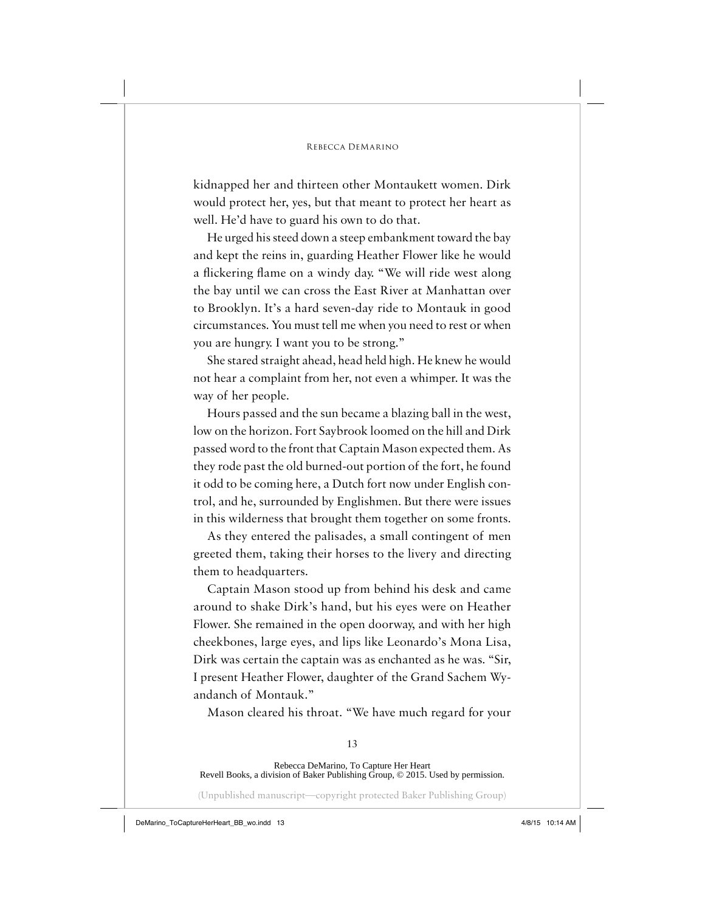kidnapped her and thirteen other Montaukett women. Dirk would protect her, yes, but that meant to protect her heart as well. He'd have to guard his own to do that.

He urged his steed down a steep embankment toward the bay and kept the reins in, guarding Heather Flower like he would a flickering flame on a windy day. "We will ride west along the bay until we can cross the East River at Manhattan over to Brooklyn. It's a hard seven-day ride to Montauk in good circumstances. You must tell me when you need to rest or when you are hungry. I want you to be strong."

She stared straight ahead, head held high. He knew he would not hear a complaint from her, not even a whimper. It was the way of her people.

Hours passed and the sun became a blazing ball in the west, low on the horizon. Fort Saybrook loomed on the hill and Dirk passed word to the front that Captain Mason expected them. As they rode past the old burned-out portion of the fort, he found it odd to be coming here, a Dutch fort now under English control, and he, surrounded by Englishmen. But there were issues in this wilderness that brought them together on some fronts.

As they entered the palisades, a small contingent of men greeted them, taking their horses to the livery and directing them to headquarters.

Captain Mason stood up from behind his desk and came around to shake Dirk's hand, but his eyes were on Heather Flower. She remained in the open doorway, and with her high cheekbones, large eyes, and lips like Leonardo's Mona Lisa, Dirk was certain the captain was as enchanted as he was. "Sir, I present Heather Flower, daughter of the Grand Sachem Wyandanch of Montauk."

Mason cleared his throat. "We have much regard for your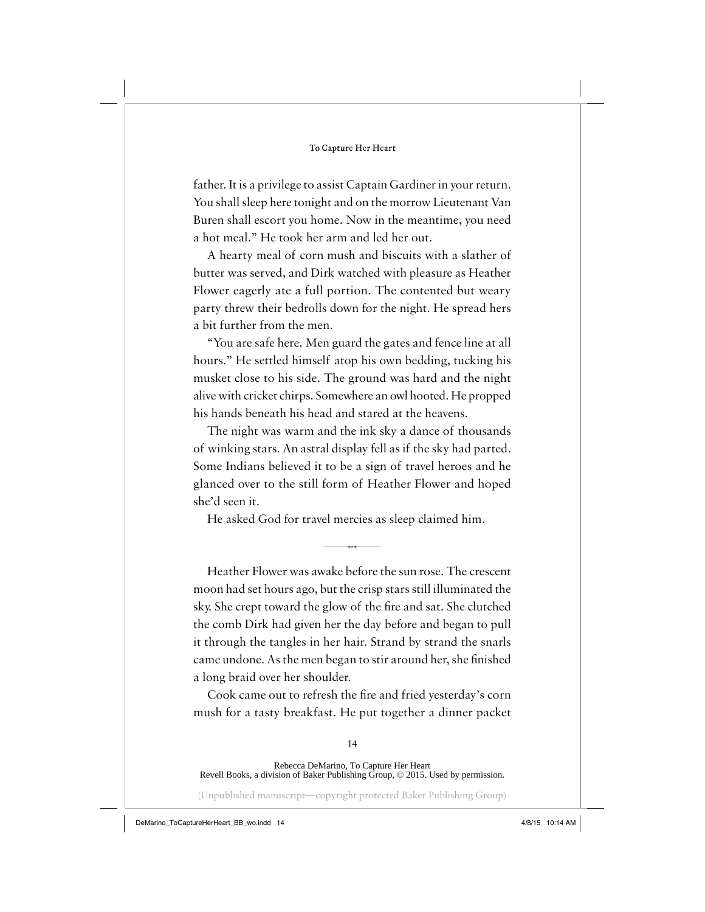father. It is a privilege to assist Captain Gardiner in your return. You shall sleep here tonight and on the morrow Lieutenant Van Buren shall escort you home. Now in the meantime, you need a hot meal." He took her arm and led her out.

A hearty meal of corn mush and biscuits with a slather of butter was served, and Dirk watched with pleasure as Heather Flower eagerly ate a full portion. The contented but weary party threw their bedrolls down for the night. He spread hers a bit further from the men.

"You are safe here. Men guard the gates and fence line at all hours." He settled himself atop his own bedding, tucking his musket close to his side. The ground was hard and the night alive with cricket chirps. Somewhere an owl hooted. He propped his hands beneath his head and stared at the heavens.

The night was warm and the ink sky a dance of thousands of winking stars. An astral display fell as if the sky had parted. Some Indians believed it to be a sign of travel heroes and he glanced over to the still form of Heather Flower and hoped she'd seen it.

He asked God for travel mercies as sleep claimed him.

Heather Flower was awake before the sun rose. The crescent moon had set hours ago, but the crisp stars still illuminated the sky. She crept toward the glow of the fire and sat. She clutched the comb Dirk had given her the day before and began to pull it through the tangles in her hair. Strand by strand the snarls came undone. As the men began to stir around her, she finished a long braid over her shoulder.

Cook came out to refresh the fire and fried yesterday's corn mush for a tasty breakfast. He put together a dinner packet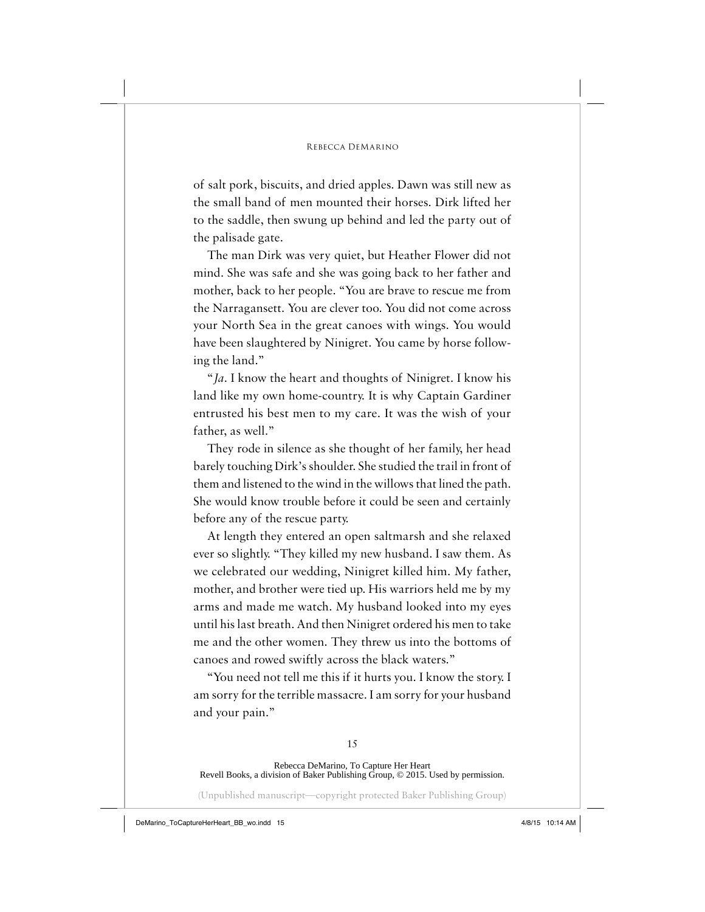of salt pork, biscuits, and dried apples. Dawn was still new as the small band of men mounted their horses. Dirk lifted her to the saddle, then swung up behind and led the party out of the palisade gate.

The man Dirk was very quiet, but Heather Flower did not mind. She was safe and she was going back to her father and mother, back to her people. "You are brave to rescue me from the Narragansett. You are clever too. You did not come across your North Sea in the great canoes with wings. You would have been slaughtered by Ninigret. You came by horse following the land."

"*Ja*. I know the heart and thoughts of Ninigret. I know his land like my own home-country. It is why Captain Gardiner entrusted his best men to my care. It was the wish of your father, as well."

They rode in silence as she thought of her family, her head barely touching Dirk's shoulder. She studied the trail in front of them and listened to the wind in the willows that lined the path. She would know trouble before it could be seen and certainly before any of the rescue party.

At length they entered an open saltmarsh and she relaxed ever so slightly. "They killed my new husband. I saw them. As we celebrated our wedding, Ninigret killed him. My father, mother, and brother were tied up. His warriors held me by my arms and made me watch. My husband looked into my eyes until his last breath. And then Ninigret ordered his men to take me and the other women. They threw us into the bottoms of canoes and rowed swiftly across the black waters."

"You need not tell me this if it hurts you. I know the story. I am sorry for the terrible massacre. I am sorry for your husband and your pain."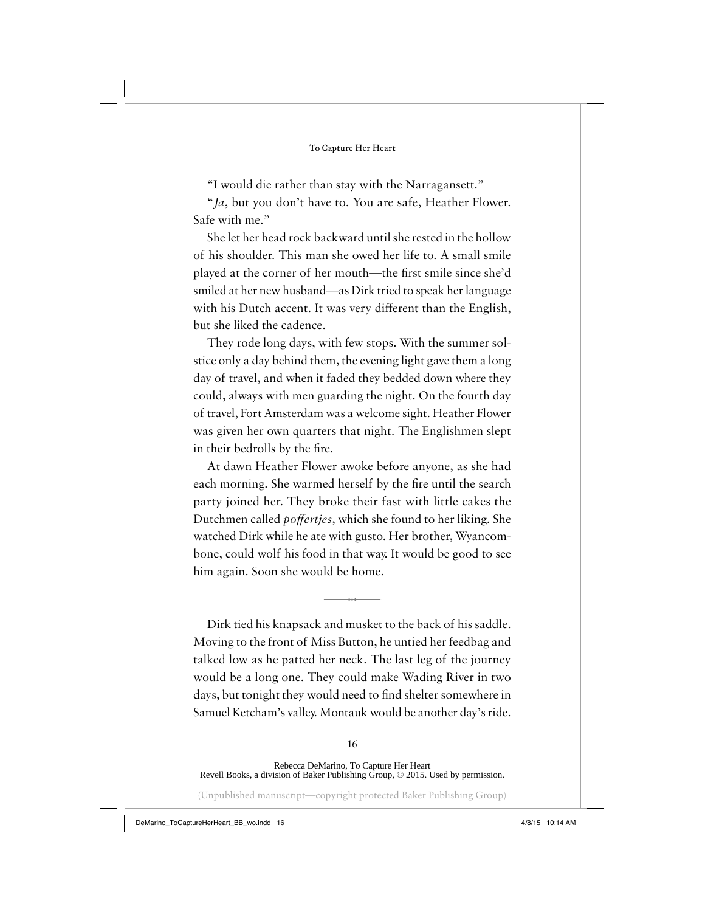"I would die rather than stay with the Narragansett."

"*Ja*, but you don't have to. You are safe, Heather Flower. Safe with me."

She let her head rock backward until she rested in the hollow of his shoulder. This man she owed her life to. A small smile played at the corner of her mouth—the first smile since she'd smiled at her new husband—as Dirk tried to speak her language with his Dutch accent. It was very different than the English, but she liked the cadence.

They rode long days, with few stops. With the summer solstice only a day behind them, the evening light gave them a long day of travel, and when it faded they bedded down where they could, always with men guarding the night. On the fourth day of travel, Fort Amsterdam was a welcome sight. Heather Flower was given her own quarters that night. The Englishmen slept in their bedrolls by the fire.

At dawn Heather Flower awoke before anyone, as she had each morning. She warmed herself by the fire until the search party joined her. They broke their fast with little cakes the Dutchmen called *poffertjes*, which she found to her liking. She watched Dirk while he ate with gusto. Her brother, Wyancombone, could wolf his food in that way. It would be good to see him again. Soon she would be home.

Dirk tied his knapsack and musket to the back of his saddle. Moving to the front of Miss Button, he untied her feedbag and talked low as he patted her neck. The last leg of the journey would be a long one. They could make Wading River in two days, but tonight they would need to find shelter somewhere in Samuel Ketcham's valley. Montauk would be another day's ride.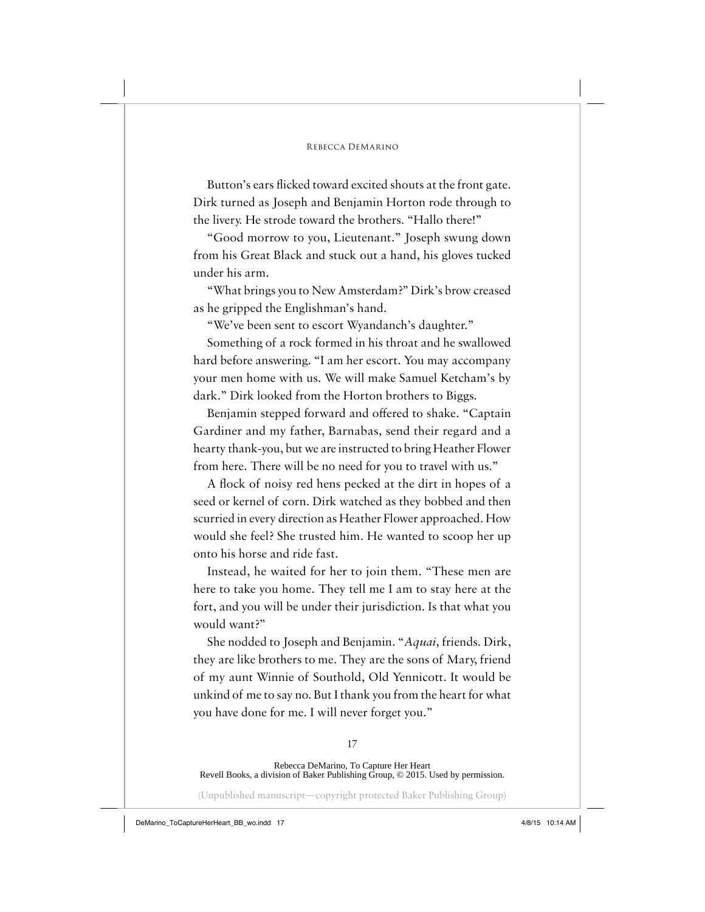Button's ears flicked toward excited shouts at the front gate. Dirk turned as Joseph and Benjamin Horton rode through to the livery. He strode toward the brothers. "Hallo there!"

"Good morrow to you, Lieutenant." Joseph swung down from his Great Black and stuck out a hand, his gloves tucked under his arm.

"What brings you to New Amsterdam?" Dirk's brow creased as he gripped the Englishman's hand.

"We've been sent to escort Wyandanch's daughter."

Something of a rock formed in his throat and he swallowed hard before answering. "I am her escort. You may accompany your men home with us. We will make Samuel Ketcham's by dark." Dirk looked from the Horton brothers to Biggs.

Benjamin stepped forward and offered to shake. "Captain Gardiner and my father, Barnabas, send their regard and a hearty thank-you, but we are instructed to bring Heather Flower from here. There will be no need for you to travel with us."

A flock of noisy red hens pecked at the dirt in hopes of a seed or kernel of corn. Dirk watched as they bobbed and then scurried in every direction as Heather Flower approached. How would she feel? She trusted him. He wanted to scoop her up onto his horse and ride fast.

Instead, he waited for her to join them. "These men are here to take you home. They tell me I am to stay here at the fort, and you will be under their jurisdiction. Is that what you would want?"

She nodded to Joseph and Benjamin. "*Aquai*, friends. Dirk, they are like brothers to me. They are the sons of Mary, friend of my aunt Winnie of Southold, Old Yennicott. It would be unkind of me to say no. But I thank you from the heart for what you have done for me. I will never forget you."